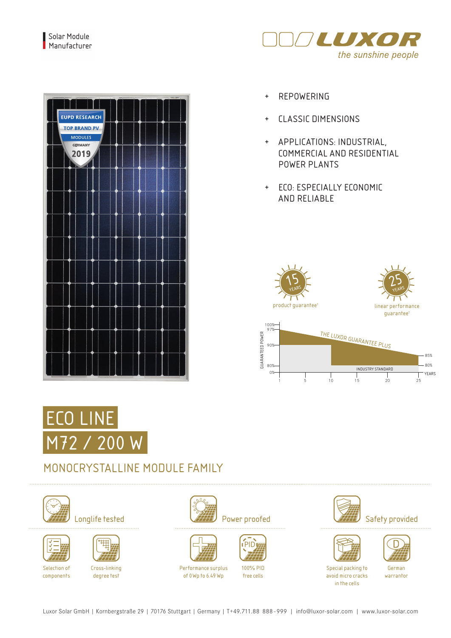

| <b>EUPD RESEARCH</b><br><b>TOP BRAND PV</b><br><b>MODULES</b><br><b>GERMANY</b><br>2019<br>$\overline{A}$ |  |
|-----------------------------------------------------------------------------------------------------------|--|
|                                                                                                           |  |
|                                                                                                           |  |
|                                                                                                           |  |
|                                                                                                           |  |
|                                                                                                           |  |
|                                                                                                           |  |
|                                                                                                           |  |
|                                                                                                           |  |
|                                                                                                           |  |

- 
- + CLASSIC DIMENSIONS
- + APPLICATIONS: INDUSTRIAL, COMMERCIAL AND RESIDENTIAL POWER PLANTS
- + ECO: ESPECIALLY ECONOMIC AND RELIABLE





## MONOCRYSTALLINE MODULE FAMILY







Cross-linking degree test











100% PID free cells









German warrantor